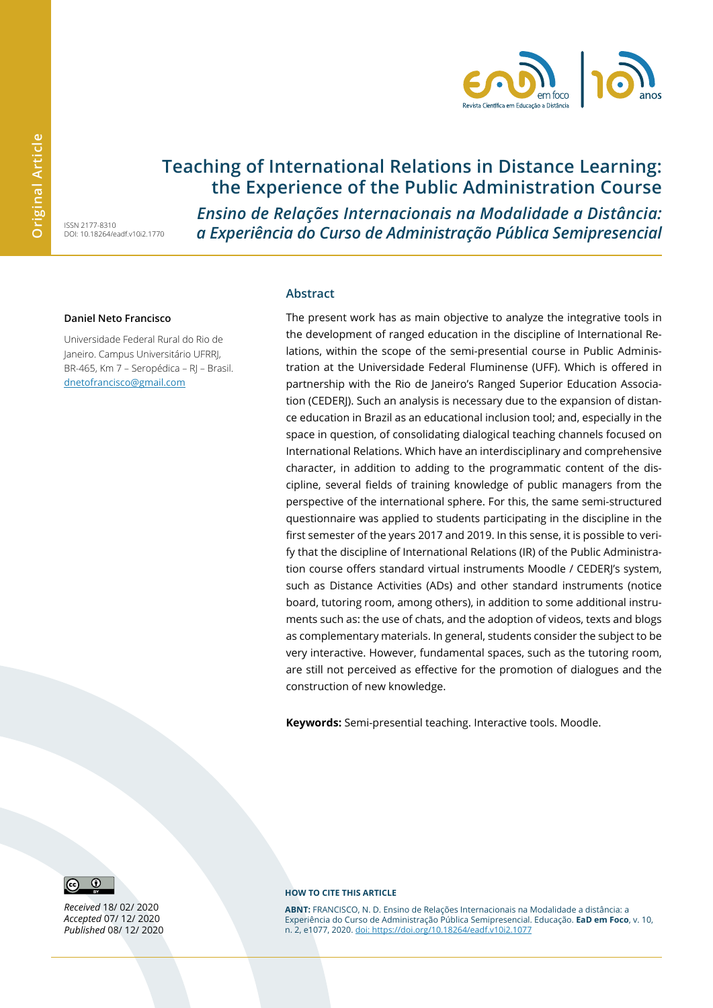

# **Teaching of International Relations in Distance Learning: the Experience of the Public Administration Course**

ISSN 2177-8310 DOI: 10.18264/eadf.v10i2.1770 *Ensino de Relações Internacionais na Modalidade a Distância: a Experiência do Curso de Administração Pública Semipresencial*

#### **Daniel Neto Francisco**

Universidade Federal Rural do Rio de Janeiro. Campus Universitário UFRRJ, BR-465, Km 7 – Seropédica – RJ – Brasil. dnetofrancisco@gmail.com

#### **Abstract**

The present work has as main objective to analyze the integrative tools in the development of ranged education in the discipline of International Relations, within the scope of the semi-presential course in Public Administration at the Universidade Federal Fluminense (UFF). Which is offered in partnership with the Rio de Janeiro's Ranged Superior Education Association (CEDERJ). Such an analysis is necessary due to the expansion of distance education in Brazil as an educational inclusion tool; and, especially in the space in question, of consolidating dialogical teaching channels focused on International Relations. Which have an interdisciplinary and comprehensive character, in addition to adding to the programmatic content of the discipline, several fields of training knowledge of public managers from the perspective of the international sphere. For this, the same semi-structured questionnaire was applied to students participating in the discipline in the first semester of the years 2017 and 2019. In this sense, it is possible to verify that the discipline of International Relations (IR) of the Public Administration course offers standard virtual instruments Moodle / CEDERJ's system, such as Distance Activities (ADs) and other standard instruments (notice board, tutoring room, among others), in addition to some additional instruments such as: the use of chats, and the adoption of videos, texts and blogs as complementary materials. In general, students consider the subject to be very interactive. However, fundamental spaces, such as the tutoring room, are still not perceived as effective for the promotion of dialogues and the construction of new knowledge.

**Keywords:** Semi-presential teaching. Interactive tools. Moodle.



*Received* 18/ 02/ 2020 *Accepted* 07/ 12/ 2020 *Published* 08/ 12/ 2020

#### **HOW TO CITE THIS ARTICLE**

**ABNT:** FRANCISCO, N. D. Ensino de Relações Internacionais na Modalidade a distância: a Experiência do Curso de Administração Pública Semipresencial. Educação. **EaD em Foco**, v. 10, n. 2, e1077, 2020. doi: https://doi.org/10.18264/eadf.v10i2.1077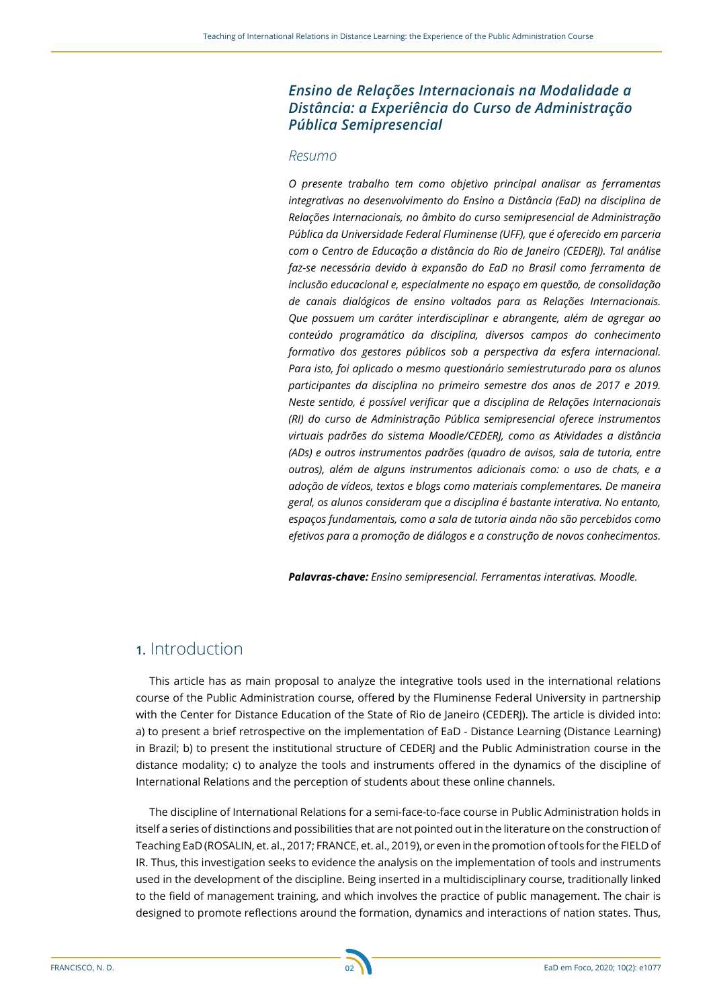### *Ensino de Relações Internacionais na Modalidade a Distância: a Experiência do Curso de Administração Pública Semipresencial*

### *Resumo*

*O presente trabalho tem como objetivo principal analisar as ferramentas integrativas no desenvolvimento do Ensino a Distância (EaD) na disciplina de Relações Internacionais, no âmbito do curso semipresencial de Administração Pública da Universidade Federal Fluminense (UFF), que é oferecido em parceria com o Centro de Educação a distância do Rio de Janeiro (CEDERJ). Tal análise faz-se necessária devido à expansão do EaD no Brasil como ferramenta de inclusão educacional e, especialmente no espaço em questão, de consolidação de canais dialógicos de ensino voltados para as Relações Internacionais. Que possuem um caráter interdisciplinar e abrangente, além de agregar ao conteúdo programático da disciplina, diversos campos do conhecimento formativo dos gestores públicos sob a perspectiva da esfera internacional. Para isto, foi aplicado o mesmo questionário semiestruturado para os alunos participantes da disciplina no primeiro semestre dos anos de 2017 e 2019. Neste sentido, é possível verificar que a disciplina de Relações Internacionais (RI) do curso de Administração Pública semipresencial oferece instrumentos virtuais padrões do sistema Moodle/CEDERJ, como as Atividades a distância (ADs) e outros instrumentos padrões (quadro de avisos, sala de tutoria, entre outros), além de alguns instrumentos adicionais como: o uso de chats, e a adoção de vídeos, textos e blogs como materiais complementares. De maneira geral, os alunos consideram que a disciplina é bastante interativa. No entanto, espaços fundamentais, como a sala de tutoria ainda não são percebidos como efetivos para a promoção de diálogos e a construção de novos conhecimentos.* 

*Palavras-chave: Ensino semipresencial. Ferramentas interativas. Moodle.*

## **1.** Introduction

This article has as main proposal to analyze the integrative tools used in the international relations course of the Public Administration course, offered by the Fluminense Federal University in partnership with the Center for Distance Education of the State of Rio de Janeiro (CEDERJ). The article is divided into: a) to present a brief retrospective on the implementation of EaD - Distance Learning (Distance Learning) in Brazil; b) to present the institutional structure of CEDERJ and the Public Administration course in the distance modality; c) to analyze the tools and instruments offered in the dynamics of the discipline of International Relations and the perception of students about these online channels.

The discipline of International Relations for a semi-face-to-face course in Public Administration holds in itself a series of distinctions and possibilities that are not pointed out in the literature on the construction of Teaching EaD (ROSALIN, et. al., 2017; FRANCE, et. al., 2019), or even in the promotion of tools for the FIELD of IR. Thus, this investigation seeks to evidence the analysis on the implementation of tools and instruments used in the development of the discipline. Being inserted in a multidisciplinary course, traditionally linked to the field of management training, and which involves the practice of public management. The chair is designed to promote reflections around the formation, dynamics and interactions of nation states. Thus,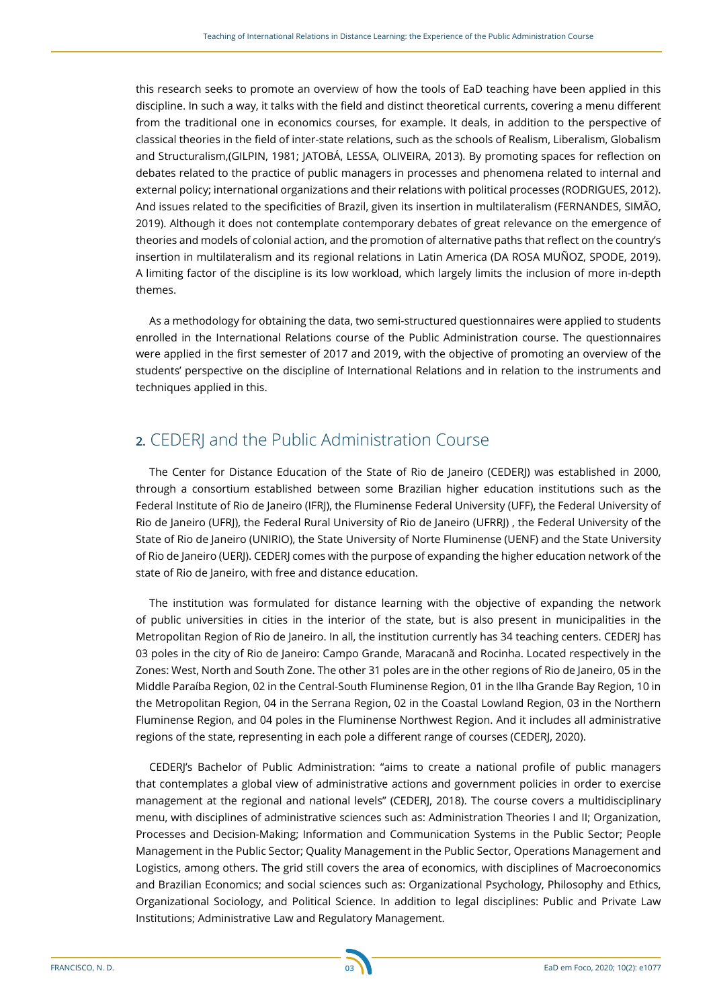this research seeks to promote an overview of how the tools of EaD teaching have been applied in this discipline. In such a way, it talks with the field and distinct theoretical currents, covering a menu different from the traditional one in economics courses, for example. It deals, in addition to the perspective of classical theories in the field of inter-state relations, such as the schools of Realism, Liberalism, Globalism and Structuralism,(GILPIN, 1981; JATOBÁ, LESSA, OLIVEIRA, 2013). By promoting spaces for reflection on debates related to the practice of public managers in processes and phenomena related to internal and external policy; international organizations and their relations with political processes (RODRIGUES, 2012). And issues related to the specificities of Brazil, given its insertion in multilateralism (FERNANDES, SIMÃO, 2019). Although it does not contemplate contemporary debates of great relevance on the emergence of theories and models of colonial action, and the promotion of alternative paths that reflect on the country's insertion in multilateralism and its regional relations in Latin America (DA ROSA MUÑOZ, SPODE, 2019). A limiting factor of the discipline is its low workload, which largely limits the inclusion of more in-depth themes.

As a methodology for obtaining the data, two semi-structured questionnaires were applied to students enrolled in the International Relations course of the Public Administration course. The questionnaires were applied in the first semester of 2017 and 2019, with the objective of promoting an overview of the students' perspective on the discipline of International Relations and in relation to the instruments and techniques applied in this.

# **2.** CEDERJ and the Public Administration Course

The Center for Distance Education of the State of Rio de Janeiro (CEDERJ) was established in 2000, through a consortium established between some Brazilian higher education institutions such as the Federal Institute of Rio de Janeiro (IFRJ), the Fluminense Federal University (UFF), the Federal University of Rio de Janeiro (UFRJ), the Federal Rural University of Rio de Janeiro (UFRRJ) , the Federal University of the State of Rio de Janeiro (UNIRIO), the State University of Norte Fluminense (UENF) and the State University of Rio de Janeiro (UERJ). CEDERJ comes with the purpose of expanding the higher education network of the state of Rio de Janeiro, with free and distance education.

The institution was formulated for distance learning with the objective of expanding the network of public universities in cities in the interior of the state, but is also present in municipalities in the Metropolitan Region of Rio de Janeiro. In all, the institution currently has 34 teaching centers. CEDERJ has 03 poles in the city of Rio de Janeiro: Campo Grande, Maracanã and Rocinha. Located respectively in the Zones: West, North and South Zone. The other 31 poles are in the other regions of Rio de Janeiro, 05 in the Middle Paraíba Region, 02 in the Central-South Fluminense Region, 01 in the Ilha Grande Bay Region, 10 in the Metropolitan Region, 04 in the Serrana Region, 02 in the Coastal Lowland Region, 03 in the Northern Fluminense Region, and 04 poles in the Fluminense Northwest Region. And it includes all administrative regions of the state, representing in each pole a different range of courses (CEDERJ, 2020).

CEDERJ's Bachelor of Public Administration: "aims to create a national profile of public managers that contemplates a global view of administrative actions and government policies in order to exercise management at the regional and national levels" (CEDERJ, 2018). The course covers a multidisciplinary menu, with disciplines of administrative sciences such as: Administration Theories I and II; Organization, Processes and Decision-Making; Information and Communication Systems in the Public Sector; People Management in the Public Sector; Quality Management in the Public Sector, Operations Management and Logistics, among others. The grid still covers the area of economics, with disciplines of Macroeconomics and Brazilian Economics; and social sciences such as: Organizational Psychology, Philosophy and Ethics, Organizational Sociology, and Political Science. In addition to legal disciplines: Public and Private Law Institutions; Administrative Law and Regulatory Management.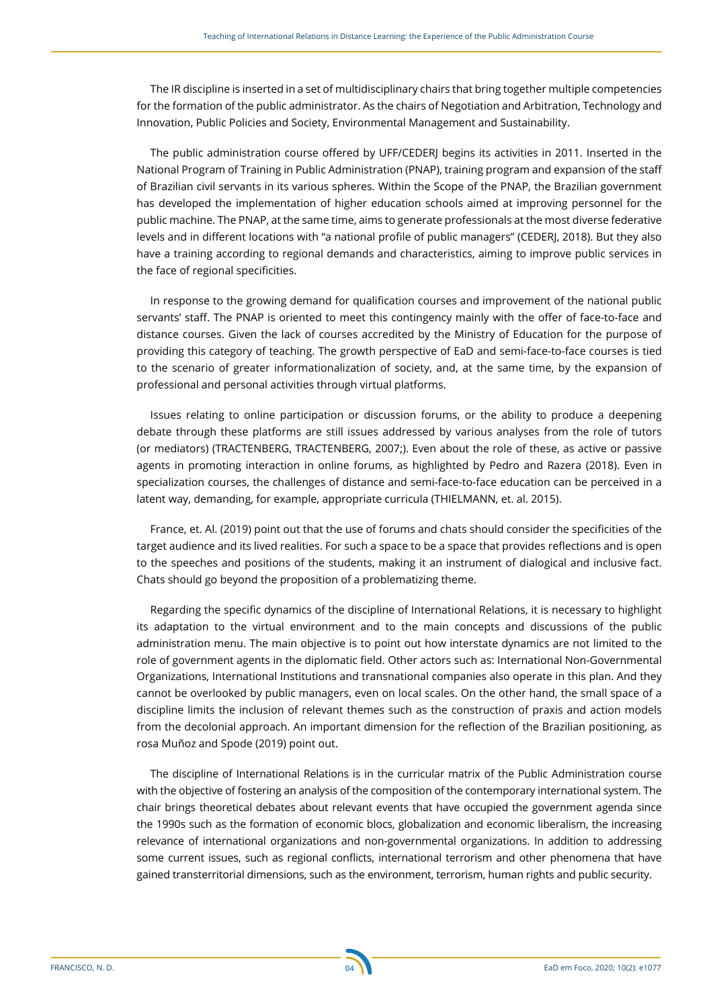The IR discipline is inserted in a set of multidisciplinary chairs that bring together multiple competencies for the formation of the public administrator. As the chairs of Negotiation and Arbitration, Technology and Innovation, Public Policies and Society, Environmental Management and Sustainability.

The public administration course offered by UFF/CEDERJ begins its activities in 2011. Inserted in the National Program of Training in Public Administration (PNAP), training program and expansion of the staff of Brazilian civil servants in its various spheres. Within the Scope of the PNAP, the Brazilian government has developed the implementation of higher education schools aimed at improving personnel for the public machine. The PNAP, at the same time, aims to generate professionals at the most diverse federative levels and in different locations with "a national profile of public managers" (CEDERJ, 2018). But they also have a training according to regional demands and characteristics, aiming to improve public services in the face of regional specificities.

In response to the growing demand for qualification courses and improvement of the national public servants' staff. The PNAP is oriented to meet this contingency mainly with the offer of face-to-face and distance courses. Given the lack of courses accredited by the Ministry of Education for the purpose of providing this category of teaching. The growth perspective of EaD and semi-face-to-face courses is tied to the scenario of greater informationalization of society, and, at the same time, by the expansion of professional and personal activities through virtual platforms.

Issues relating to online participation or discussion forums, or the ability to produce a deepening debate through these platforms are still issues addressed by various analyses from the role of tutors (or mediators) (TRACTENBERG, TRACTENBERG, 2007;). Even about the role of these, as active or passive agents in promoting interaction in online forums, as highlighted by Pedro and Razera (2018). Even in specialization courses, the challenges of distance and semi-face-to-face education can be perceived in a latent way, demanding, for example, appropriate curricula (THIELMANN, et. al. 2015).

France, et. Al. (2019) point out that the use of forums and chats should consider the specificities of the target audience and its lived realities. For such a space to be a space that provides reflections and is open to the speeches and positions of the students, making it an instrument of dialogical and inclusive fact. Chats should go beyond the proposition of a problematizing theme.

Regarding the specific dynamics of the discipline of International Relations, it is necessary to highlight its adaptation to the virtual environment and to the main concepts and discussions of the public administration menu. The main objective is to point out how interstate dynamics are not limited to the role of government agents in the diplomatic field. Other actors such as: International Non-Governmental Organizations, International Institutions and transnational companies also operate in this plan. And they cannot be overlooked by public managers, even on local scales. On the other hand, the small space of a discipline limits the inclusion of relevant themes such as the construction of praxis and action models from the decolonial approach. An important dimension for the reflection of the Brazilian positioning, as rosa Muñoz and Spode (2019) point out.

The discipline of International Relations is in the curricular matrix of the Public Administration course with the objective of fostering an analysis of the composition of the contemporary international system. The chair brings theoretical debates about relevant events that have occupied the government agenda since the 1990s such as the formation of economic blocs, globalization and economic liberalism, the increasing relevance of international organizations and non-governmental organizations. In addition to addressing some current issues, such as regional conflicts, international terrorism and other phenomena that have gained transterritorial dimensions, such as the environment, terrorism, human rights and public security.

**04**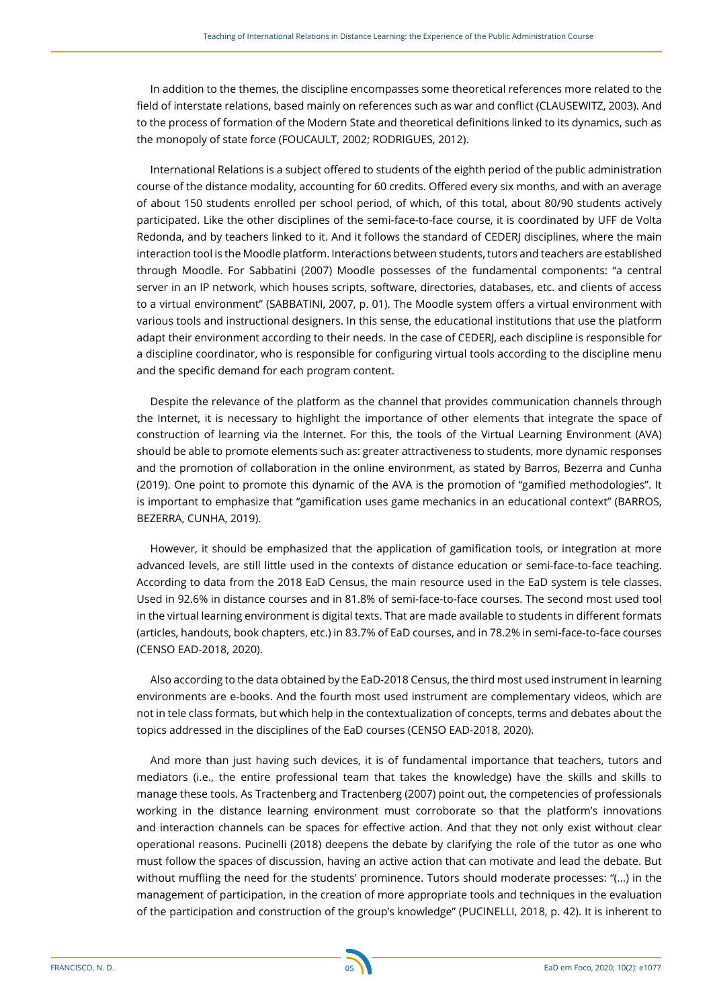In addition to the themes, the discipline encompasses some theoretical references more related to the field of interstate relations, based mainly on references such as war and conflict (CLAUSEWITZ, 2003). And to the process of formation of the Modern State and theoretical definitions linked to its dynamics, such as the monopoly of state force (FOUCAULT, 2002; RODRIGUES, 2012).

International Relations is a subject offered to students of the eighth period of the public administration course of the distance modality, accounting for 60 credits. Offered every six months, and with an average of about 150 students enrolled per school period, of which, of this total, about 80/90 students actively participated. Like the other disciplines of the semi-face-to-face course, it is coordinated by UFF de Volta Redonda, and by teachers linked to it. And it follows the standard of CEDERJ disciplines, where the main interaction tool is the Moodle platform. Interactions between students, tutors and teachers are established through Moodle. For Sabbatini (2007) Moodle possesses of the fundamental components: "a central server in an IP network, which houses scripts, software, directories, databases, etc. and clients of access to a virtual environment" (SABBATINI, 2007, p. 01). The Moodle system offers a virtual environment with various tools and instructional designers. In this sense, the educational institutions that use the platform adapt their environment according to their needs. In the case of CEDERJ, each discipline is responsible for a discipline coordinator, who is responsible for configuring virtual tools according to the discipline menu and the specific demand for each program content.

Despite the relevance of the platform as the channel that provides communication channels through the Internet, it is necessary to highlight the importance of other elements that integrate the space of construction of learning via the Internet. For this, the tools of the Virtual Learning Environment (AVA) should be able to promote elements such as: greater attractiveness to students, more dynamic responses and the promotion of collaboration in the online environment, as stated by Barros, Bezerra and Cunha (2019). One point to promote this dynamic of the AVA is the promotion of "gamified methodologies". It is important to emphasize that "gamification uses game mechanics in an educational context" (BARROS, BEZERRA, CUNHA, 2019).

However, it should be emphasized that the application of gamification tools, or integration at more advanced levels, are still little used in the contexts of distance education or semi-face-to-face teaching. According to data from the 2018 EaD Census, the main resource used in the EaD system is tele classes. Used in 92.6% in distance courses and in 81.8% of semi-face-to-face courses. The second most used tool in the virtual learning environment is digital texts. That are made available to students in different formats (articles, handouts, book chapters, etc.) in 83.7% of EaD courses, and in 78.2% in semi-face-to-face courses (CENSO EAD-2018, 2020).

Also according to the data obtained by the EaD-2018 Census, the third most used instrument in learning environments are e-books. And the fourth most used instrument are complementary videos, which are not in tele class formats, but which help in the contextualization of concepts, terms and debates about the topics addressed in the disciplines of the EaD courses (CENSO EAD-2018, 2020).

And more than just having such devices, it is of fundamental importance that teachers, tutors and mediators (i.e., the entire professional team that takes the knowledge) have the skills and skills to manage these tools. As Tractenberg and Tractenberg (2007) point out, the competencies of professionals working in the distance learning environment must corroborate so that the platform's innovations and interaction channels can be spaces for effective action. And that they not only exist without clear operational reasons. Pucinelli (2018) deepens the debate by clarifying the role of the tutor as one who must follow the spaces of discussion, having an active action that can motivate and lead the debate. But without muffling the need for the students' prominence. Tutors should moderate processes: "(...) in the management of participation, in the creation of more appropriate tools and techniques in the evaluation of the participation and construction of the group's knowledge" (PUCINELLI, 2018, p. 42). It is inherent to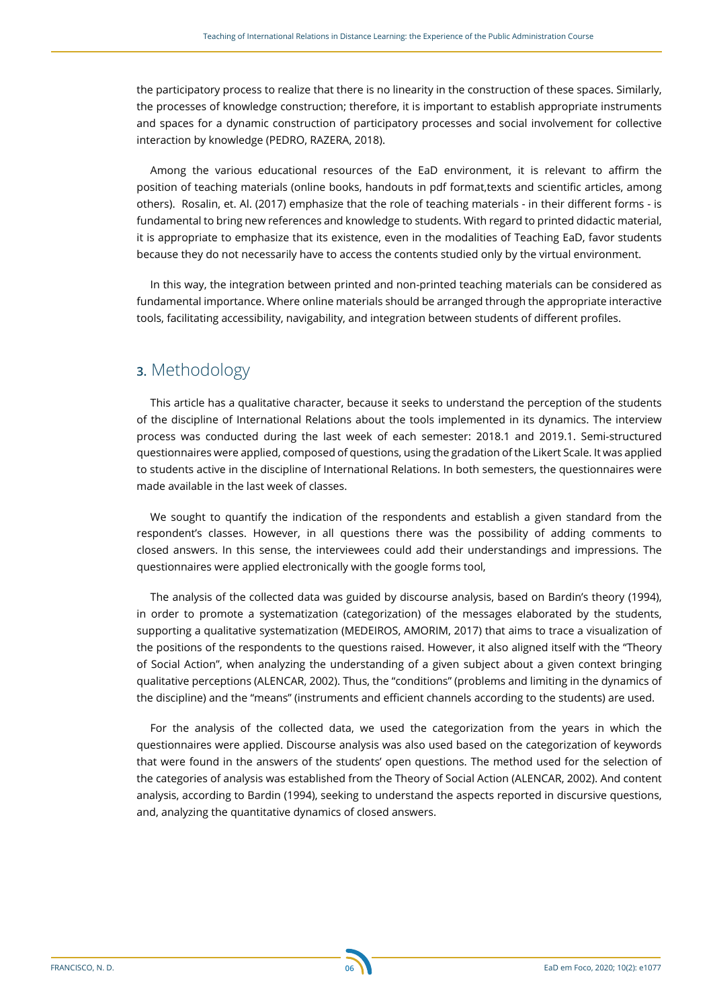the participatory process to realize that there is no linearity in the construction of these spaces. Similarly, the processes of knowledge construction; therefore, it is important to establish appropriate instruments and spaces for a dynamic construction of participatory processes and social involvement for collective interaction by knowledge (PEDRO, RAZERA, 2018).

Among the various educational resources of the EaD environment, it is relevant to affirm the position of teaching materials (online books, handouts in pdf format,texts and scientific articles, among others). Rosalin, et. Al. (2017) emphasize that the role of teaching materials - in their different forms - is fundamental to bring new references and knowledge to students. With regard to printed didactic material, it is appropriate to emphasize that its existence, even in the modalities of Teaching EaD, favor students because they do not necessarily have to access the contents studied only by the virtual environment.

In this way, the integration between printed and non-printed teaching materials can be considered as fundamental importance. Where online materials should be arranged through the appropriate interactive tools, facilitating accessibility, navigability, and integration between students of different profiles.

# **3.** Methodology

This article has a qualitative character, because it seeks to understand the perception of the students of the discipline of International Relations about the tools implemented in its dynamics. The interview process was conducted during the last week of each semester: 2018.1 and 2019.1. Semi-structured questionnaires were applied, composed of questions, using the gradation of the Likert Scale. It was applied to students active in the discipline of International Relations. In both semesters, the questionnaires were made available in the last week of classes.

We sought to quantify the indication of the respondents and establish a given standard from the respondent's classes. However, in all questions there was the possibility of adding comments to closed answers. In this sense, the interviewees could add their understandings and impressions. The questionnaires were applied electronically with the google forms tool,

The analysis of the collected data was guided by discourse analysis, based on Bardin's theory (1994), in order to promote a systematization (categorization) of the messages elaborated by the students, supporting a qualitative systematization (MEDEIROS, AMORIM, 2017) that aims to trace a visualization of the positions of the respondents to the questions raised. However, it also aligned itself with the "Theory of Social Action", when analyzing the understanding of a given subject about a given context bringing qualitative perceptions (ALENCAR, 2002). Thus, the "conditions" (problems and limiting in the dynamics of the discipline) and the "means" (instruments and efficient channels according to the students) are used.

For the analysis of the collected data, we used the categorization from the years in which the questionnaires were applied. Discourse analysis was also used based on the categorization of keywords that were found in the answers of the students' open questions. The method used for the selection of the categories of analysis was established from the Theory of Social Action (ALENCAR, 2002). And content analysis, according to Bardin (1994), seeking to understand the aspects reported in discursive questions, and, analyzing the quantitative dynamics of closed answers.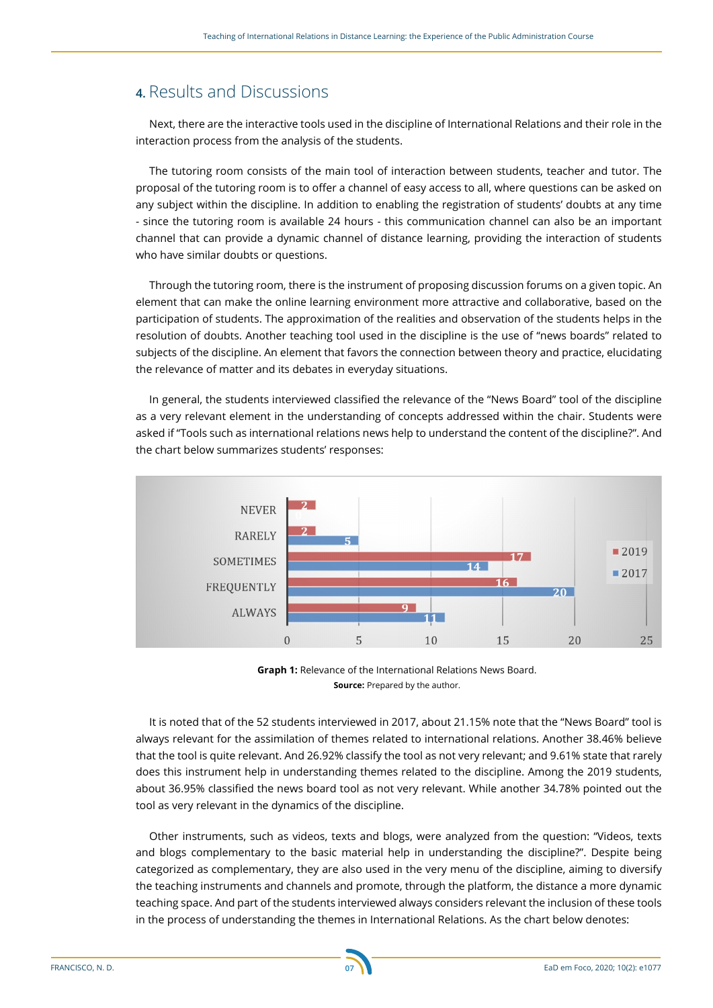## **4.** Results and Discussions

Next, there are the interactive tools used in the discipline of International Relations and their role in the interaction process from the analysis of the students.

The tutoring room consists of the main tool of interaction between students, teacher and tutor. The proposal of the tutoring room is to offer a channel of easy access to all, where questions can be asked on any subject within the discipline. In addition to enabling the registration of students' doubts at any time - since the tutoring room is available 24 hours - this communication channel can also be an important channel that can provide a dynamic channel of distance learning, providing the interaction of students who have similar doubts or questions.

Through the tutoring room, there is the instrument of proposing discussion forums on a given topic. An element that can make the online learning environment more attractive and collaborative, based on the participation of students. The approximation of the realities and observation of the students helps in the resolution of doubts. Another teaching tool used in the discipline is the use of "news boards" related to subjects of the discipline. An element that favors the connection between theory and practice, elucidating the relevance of matter and its debates in everyday situations.

In general, the students interviewed classified the relevance of the "News Board" tool of the discipline as a very relevant element in the understanding of concepts addressed within the chair. Students were asked if "Tools such as international relations news help to understand the content of the discipline?". And the chart below summarizes students' responses:



**Graph 1:** Relevance of the International Relations News Board. **Source:** Prepared by the author.

It is noted that of the 52 students interviewed in 2017, about 21.15% note that the "News Board" tool is always relevant for the assimilation of themes related to international relations. Another 38.46% believe that the tool is quite relevant. And 26.92% classify the tool as not very relevant; and 9.61% state that rarely does this instrument help in understanding themes related to the discipline. Among the 2019 students, about 36.95% classified the news board tool as not very relevant. While another 34.78% pointed out the tool as very relevant in the dynamics of the discipline.

Other instruments, such as videos, texts and blogs, were analyzed from the question: "Videos, texts and blogs complementary to the basic material help in understanding the discipline?". Despite being categorized as complementary, they are also used in the very menu of the discipline, aiming to diversify the teaching instruments and channels and promote, through the platform, the distance a more dynamic teaching space. And part of the students interviewed always considers relevant the inclusion of these tools in the process of understanding the themes in International Relations. As the chart below denotes: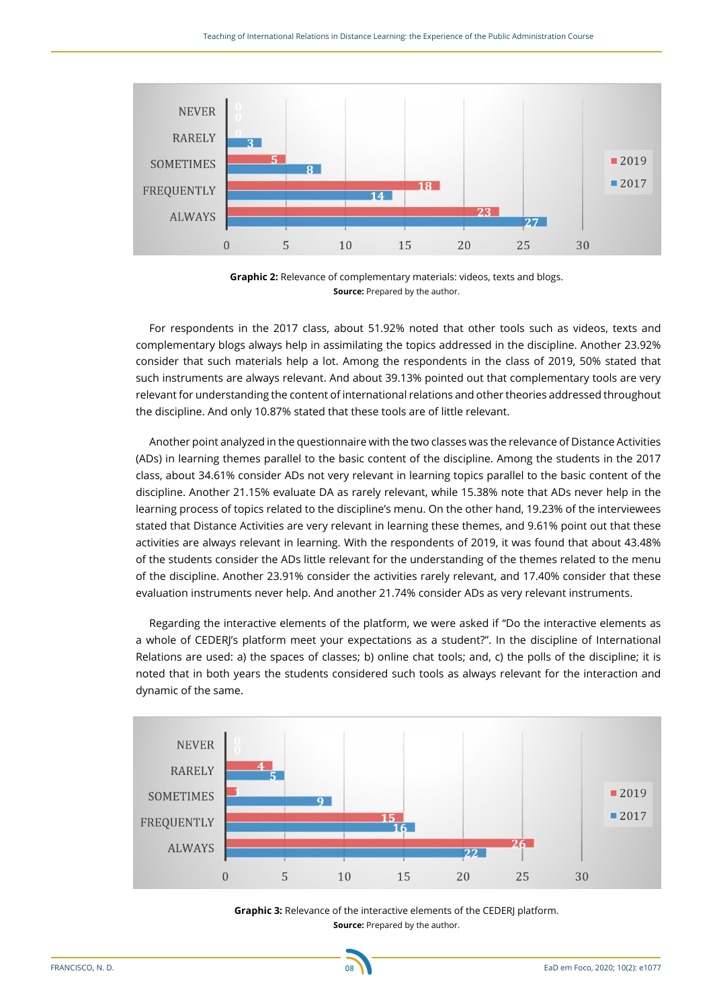

**Graphic 2:** Relevance of complementary materials: videos, texts and blogs. **Source:** Prepared by the author.

For respondents in the 2017 class, about 51.92% noted that other tools such as videos, texts and complementary blogs always help in assimilating the topics addressed in the discipline. Another 23.92% consider that such materials help a lot. Among the respondents in the class of 2019, 50% stated that such instruments are always relevant. And about 39.13% pointed out that complementary tools are very relevant for understanding the content of international relations and other theories addressed throughout the discipline. And only 10.87% stated that these tools are of little relevant.

Another point analyzed in the questionnaire with the two classes was the relevance of Distance Activities (ADs) in learning themes parallel to the basic content of the discipline. Among the students in the 2017 class, about 34.61% consider ADs not very relevant in learning topics parallel to the basic content of the discipline. Another 21.15% evaluate DA as rarely relevant, while 15.38% note that ADs never help in the learning process of topics related to the discipline's menu. On the other hand, 19.23% of the interviewees stated that Distance Activities are very relevant in learning these themes, and 9.61% point out that these activities are always relevant in learning. With the respondents of 2019, it was found that about 43.48% of the students consider the ADs little relevant for the understanding of the themes related to the menu of the discipline. Another 23.91% consider the activities rarely relevant, and 17.40% consider that these evaluation instruments never help. And another 21.74% consider ADs as very relevant instruments.

Regarding the interactive elements of the platform, we were asked if "Do the interactive elements as a whole of CEDERI's platform meet your expectations as a student?". In the discipline of International Relations are used: a) the spaces of classes; b) online chat tools; and, c) the polls of the discipline; it is noted that in both years the students considered such tools as always relevant for the interaction and dynamic of the same.



**Graphic 3:** Relevance of the interactive elements of the CEDERJ platform. **Source:** Prepared by the author.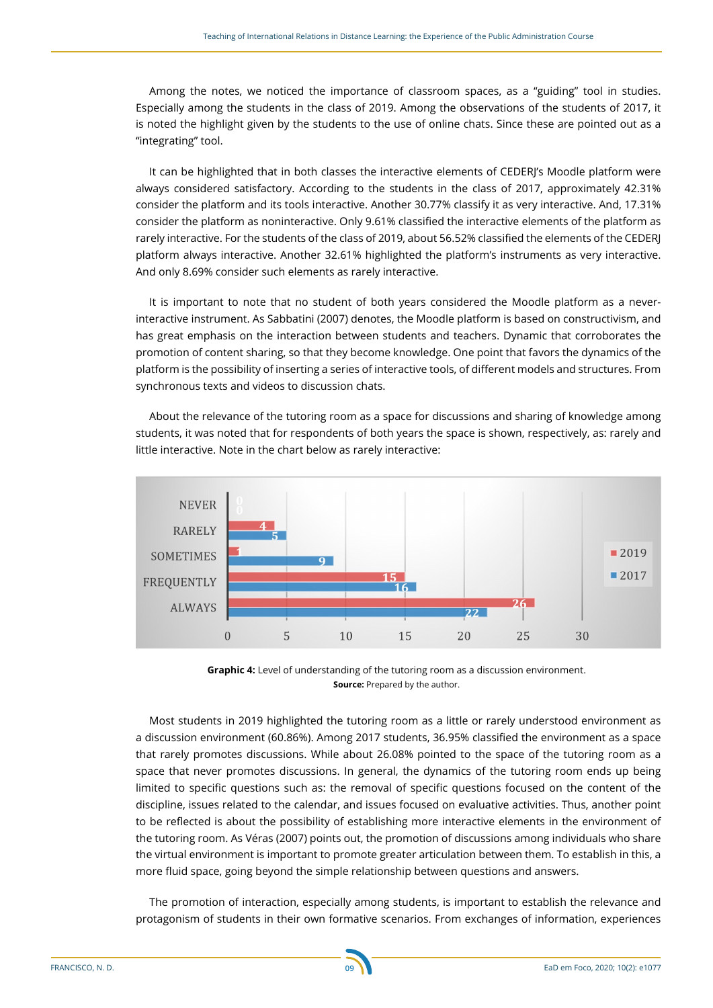Among the notes, we noticed the importance of classroom spaces, as a "guiding" tool in studies. Especially among the students in the class of 2019. Among the observations of the students of 2017, it is noted the highlight given by the students to the use of online chats. Since these are pointed out as a "integrating" tool.

It can be highlighted that in both classes the interactive elements of CEDERI's Moodle platform were always considered satisfactory. According to the students in the class of 2017, approximately 42.31% consider the platform and its tools interactive. Another 30.77% classify it as very interactive. And, 17.31% consider the platform as noninteractive. Only 9.61% classified the interactive elements of the platform as rarely interactive. For the students of the class of 2019, about 56.52% classified the elements of the CEDERJ platform always interactive. Another 32.61% highlighted the platform's instruments as very interactive. And only 8.69% consider such elements as rarely interactive.

It is important to note that no student of both years considered the Moodle platform as a neverinteractive instrument. As Sabbatini (2007) denotes, the Moodle platform is based on constructivism, and has great emphasis on the interaction between students and teachers. Dynamic that corroborates the promotion of content sharing, so that they become knowledge. One point that favors the dynamics of the platform is the possibility of inserting a series of interactive tools, of different models and structures. From synchronous texts and videos to discussion chats.

About the relevance of the tutoring room as a space for discussions and sharing of knowledge among students, it was noted that for respondents of both years the space is shown, respectively, as: rarely and little interactive. Note in the chart below as rarely interactive:



**Graphic 4:** Level of understanding of the tutoring room as a discussion environment. **Source:** Prepared by the author.

Most students in 2019 highlighted the tutoring room as a little or rarely understood environment as a discussion environment (60.86%). Among 2017 students, 36.95% classified the environment as a space that rarely promotes discussions. While about 26.08% pointed to the space of the tutoring room as a space that never promotes discussions. In general, the dynamics of the tutoring room ends up being limited to specific questions such as: the removal of specific questions focused on the content of the discipline, issues related to the calendar, and issues focused on evaluative activities. Thus, another point to be reflected is about the possibility of establishing more interactive elements in the environment of the tutoring room. As Véras (2007) points out, the promotion of discussions among individuals who share the virtual environment is important to promote greater articulation between them. To establish in this, a more fluid space, going beyond the simple relationship between questions and answers.

The promotion of interaction, especially among students, is important to establish the relevance and protagonism of students in their own formative scenarios. From exchanges of information, experiences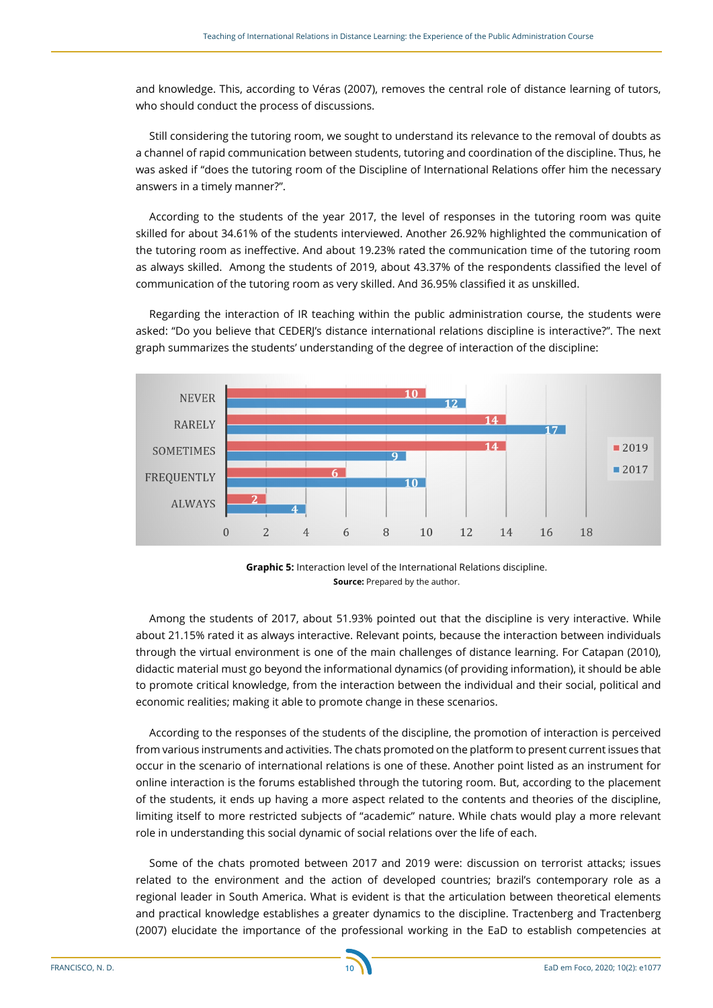and knowledge. This, according to Véras (2007), removes the central role of distance learning of tutors, who should conduct the process of discussions.

Still considering the tutoring room, we sought to understand its relevance to the removal of doubts as a channel of rapid communication between students, tutoring and coordination of the discipline. Thus, he was asked if "does the tutoring room of the Discipline of International Relations offer him the necessary answers in a timely manner?".

According to the students of the year 2017, the level of responses in the tutoring room was quite skilled for about 34.61% of the students interviewed. Another 26.92% highlighted the communication of the tutoring room as ineffective. And about 19.23% rated the communication time of the tutoring room as always skilled. Among the students of 2019, about 43.37% of the respondents classified the level of communication of the tutoring room as very skilled. And 36.95% classified it as unskilled.

Regarding the interaction of IR teaching within the public administration course, the students were asked: "Do you believe that CEDERJ's distance international relations discipline is interactive?". The next graph summarizes the students' understanding of the degree of interaction of the discipline:



**Graphic 5:** Interaction level of the International Relations discipline. **Source:** Prepared by the author.

Among the students of 2017, about 51.93% pointed out that the discipline is very interactive. While about 21.15% rated it as always interactive. Relevant points, because the interaction between individuals through the virtual environment is one of the main challenges of distance learning. For Catapan (2010), didactic material must go beyond the informational dynamics (of providing information), it should be able to promote critical knowledge, from the interaction between the individual and their social, political and economic realities; making it able to promote change in these scenarios.

According to the responses of the students of the discipline, the promotion of interaction is perceived from various instruments and activities. The chats promoted on the platform to present current issues that occur in the scenario of international relations is one of these. Another point listed as an instrument for online interaction is the forums established through the tutoring room. But, according to the placement of the students, it ends up having a more aspect related to the contents and theories of the discipline, limiting itself to more restricted subjects of "academic" nature. While chats would play a more relevant role in understanding this social dynamic of social relations over the life of each.

Some of the chats promoted between 2017 and 2019 were: discussion on terrorist attacks; issues related to the environment and the action of developed countries; brazil's contemporary role as a regional leader in South America. What is evident is that the articulation between theoretical elements and practical knowledge establishes a greater dynamics to the discipline. Tractenberg and Tractenberg (2007) elucidate the importance of the professional working in the EaD to establish competencies at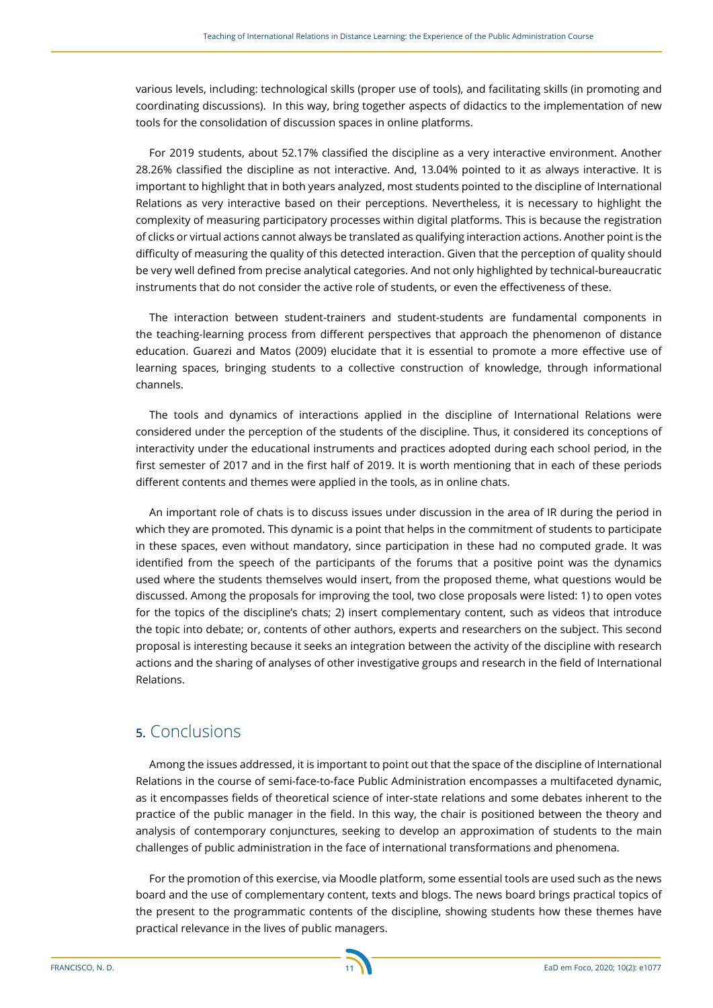various levels, including: technological skills (proper use of tools), and facilitating skills (in promoting and coordinating discussions). In this way, bring together aspects of didactics to the implementation of new tools for the consolidation of discussion spaces in online platforms.

For 2019 students, about 52.17% classified the discipline as a very interactive environment. Another 28.26% classified the discipline as not interactive. And, 13.04% pointed to it as always interactive. It is important to highlight that in both years analyzed, most students pointed to the discipline of International Relations as very interactive based on their perceptions. Nevertheless, it is necessary to highlight the complexity of measuring participatory processes within digital platforms. This is because the registration of clicks or virtual actions cannot always be translated as qualifying interaction actions. Another point is the difficulty of measuring the quality of this detected interaction. Given that the perception of quality should be very well defined from precise analytical categories. And not only highlighted by technical-bureaucratic instruments that do not consider the active role of students, or even the effectiveness of these.

The interaction between student-trainers and student-students are fundamental components in the teaching-learning process from different perspectives that approach the phenomenon of distance education. Guarezi and Matos (2009) elucidate that it is essential to promote a more effective use of learning spaces, bringing students to a collective construction of knowledge, through informational channels.

The tools and dynamics of interactions applied in the discipline of International Relations were considered under the perception of the students of the discipline. Thus, it considered its conceptions of interactivity under the educational instruments and practices adopted during each school period, in the first semester of 2017 and in the first half of 2019. It is worth mentioning that in each of these periods different contents and themes were applied in the tools, as in online chats.

An important role of chats is to discuss issues under discussion in the area of IR during the period in which they are promoted. This dynamic is a point that helps in the commitment of students to participate in these spaces, even without mandatory, since participation in these had no computed grade. It was identified from the speech of the participants of the forums that a positive point was the dynamics used where the students themselves would insert, from the proposed theme, what questions would be discussed. Among the proposals for improving the tool, two close proposals were listed: 1) to open votes for the topics of the discipline's chats; 2) insert complementary content, such as videos that introduce the topic into debate; or, contents of other authors, experts and researchers on the subject. This second proposal is interesting because it seeks an integration between the activity of the discipline with research actions and the sharing of analyses of other investigative groups and research in the field of International Relations.

## **5.** Conclusions

Among the issues addressed, it is important to point out that the space of the discipline of International Relations in the course of semi-face-to-face Public Administration encompasses a multifaceted dynamic, as it encompasses fields of theoretical science of inter-state relations and some debates inherent to the practice of the public manager in the field. In this way, the chair is positioned between the theory and analysis of contemporary conjunctures, seeking to develop an approximation of students to the main challenges of public administration in the face of international transformations and phenomena.

For the promotion of this exercise, via Moodle platform, some essential tools are used such as the news board and the use of complementary content, texts and blogs. The news board brings practical topics of the present to the programmatic contents of the discipline, showing students how these themes have practical relevance in the lives of public managers.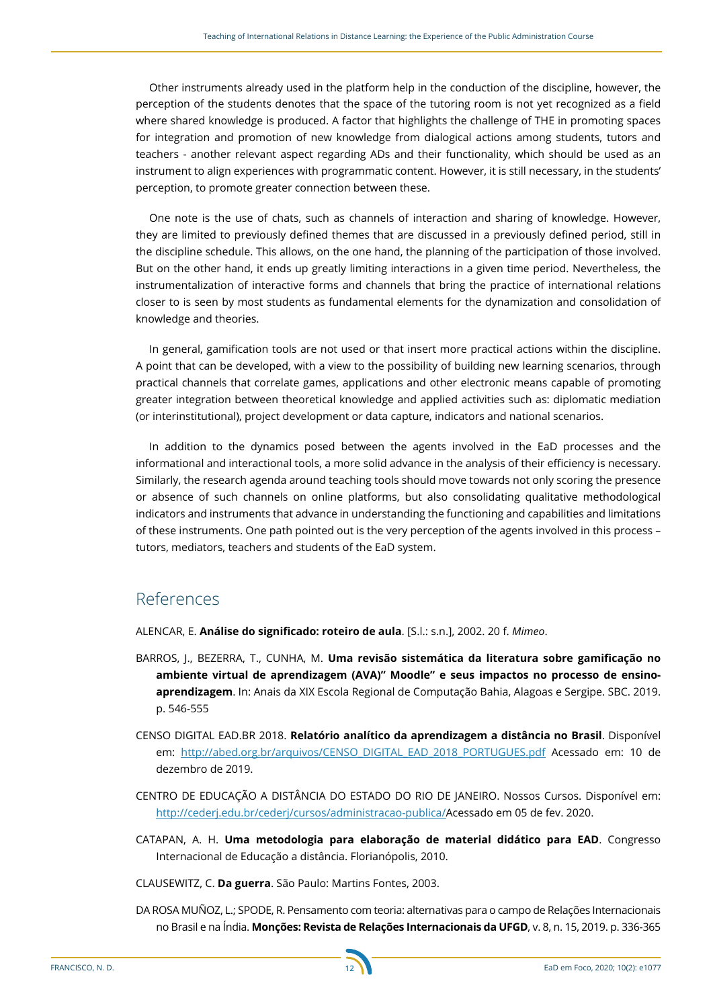Other instruments already used in the platform help in the conduction of the discipline, however, the perception of the students denotes that the space of the tutoring room is not yet recognized as a field where shared knowledge is produced. A factor that highlights the challenge of THE in promoting spaces for integration and promotion of new knowledge from dialogical actions among students, tutors and teachers - another relevant aspect regarding ADs and their functionality, which should be used as an instrument to align experiences with programmatic content. However, it is still necessary, in the students' perception, to promote greater connection between these.

One note is the use of chats, such as channels of interaction and sharing of knowledge. However, they are limited to previously defined themes that are discussed in a previously defined period, still in the discipline schedule. This allows, on the one hand, the planning of the participation of those involved. But on the other hand, it ends up greatly limiting interactions in a given time period. Nevertheless, the instrumentalization of interactive forms and channels that bring the practice of international relations closer to is seen by most students as fundamental elements for the dynamization and consolidation of knowledge and theories.

In general, gamification tools are not used or that insert more practical actions within the discipline. A point that can be developed, with a view to the possibility of building new learning scenarios, through practical channels that correlate games, applications and other electronic means capable of promoting greater integration between theoretical knowledge and applied activities such as: diplomatic mediation (or interinstitutional), project development or data capture, indicators and national scenarios.

In addition to the dynamics posed between the agents involved in the EaD processes and the informational and interactional tools, a more solid advance in the analysis of their efficiency is necessary. Similarly, the research agenda around teaching tools should move towards not only scoring the presence or absence of such channels on online platforms, but also consolidating qualitative methodological indicators and instruments that advance in understanding the functioning and capabilities and limitations of these instruments. One path pointed out is the very perception of the agents involved in this process – tutors, mediators, teachers and students of the EaD system.

# References

ALENCAR, E. **Análise do significado: roteiro de aula**. [S.l.: s.n.], 2002. 20 f. *Mimeo*.

- BARROS, J., BEZERRA, T., CUNHA, M. **Uma revisão sistemática da literatura sobre gamificação no ambiente virtual de aprendizagem (AVA)" Moodle" e seus impactos no processo de ensinoaprendizagem**. In: Anais da XIX Escola Regional de Computação Bahia, Alagoas e Sergipe. SBC. 2019. p. 546-555
- CENSO DIGITAL EAD.BR 2018. **Relatório analítico da aprendizagem a distância no Brasil**. Disponível em: [http://abed.org.br/arquivos/CENSO\\_DIGITAL\\_EAD\\_2018\\_PORTUGUES.pdf](http://abed.org.br/arquivos/CENSO_DIGITAL_EAD_2018_PORTUGUES.pdf) Acessado em: 10 de dezembro de 2019.
- CENTRO DE EDUCAÇÃO A DISTÂNCIA DO ESTADO DO RIO DE JANEIRO. Nossos Cursos. Disponível em: <http://cederj.edu.br/cederj/cursos/administracao-publica/>Acessado em 05 de fev. 2020.
- CATAPAN, A. H. **Uma metodologia para elaboração de material didático para EAD**. Congresso Internacional de Educação a distância. Florianópolis, 2010.

CLAUSEWITZ, C. **Da guerra**. São Paulo: Martins Fontes, 2003.

DA ROSA MUÑOZ, L.; SPODE, R. Pensamento com teoria: alternativas para o campo de Relações Internacionais no Brasil e na Índia. **Monções: Revista de Relações Internacionais da UFGD**, v. 8, n. 15, 2019. p. 336-365